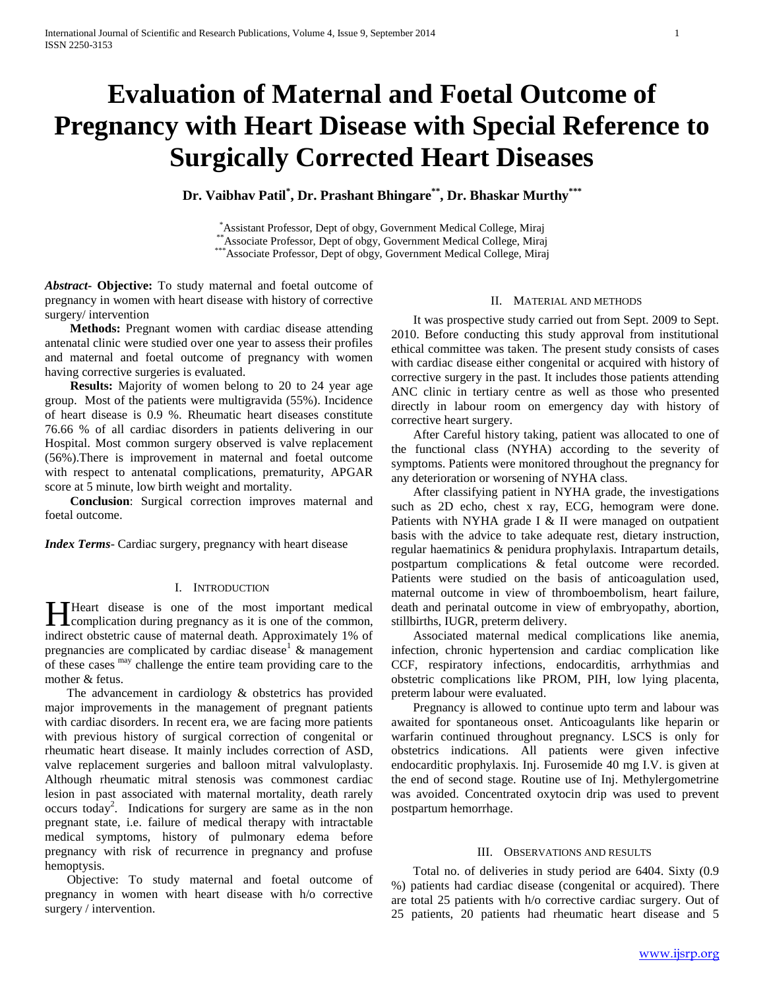# **Evaluation of Maternal and Foetal Outcome of Pregnancy with Heart Disease with Special Reference to Surgically Corrected Heart Diseases**

**Dr. Vaibhav Patil\* , Dr. Prashant Bhingare\*\*, Dr. Bhaskar Murthy\*\*\***

\*Assistant Professor, Dept of obgy, Government Medical College, Miraj \*\*Associate Professor, Dept of obgy, Government Medical College, Miraj \*\*\*Associate Professor, Dept of obgy, Government Medical College, Miraj

*Abstract***- Objective:** To study maternal and foetal outcome of pregnancy in women with heart disease with history of corrective surgery/ intervention

 **Methods:** Pregnant women with cardiac disease attending antenatal clinic were studied over one year to assess their profiles and maternal and foetal outcome of pregnancy with women having corrective surgeries is evaluated.

 **Results:** Majority of women belong to 20 to 24 year age group. Most of the patients were multigravida (55%). Incidence of heart disease is 0.9 %. Rheumatic heart diseases constitute 76.66 % of all cardiac disorders in patients delivering in our Hospital. Most common surgery observed is valve replacement (56%).There is improvement in maternal and foetal outcome with respect to antenatal complications, prematurity, APGAR score at 5 minute, low birth weight and mortality.

 **Conclusion**: Surgical correction improves maternal and foetal outcome.

*Index Terms*- Cardiac surgery, pregnancy with heart disease

## I. INTRODUCTION

Theart disease is one of the most important medical **Heart** disease is one of the most important medical complication during pregnancy as it is one of the common, indirect obstetric cause of maternal death. Approximately 1% of pregnancies are complicated by cardiac disease<sup>1</sup>  $\&$  management of these cases may challenge the entire team providing care to the mother & fetus.

 The advancement in cardiology & obstetrics has provided major improvements in the management of pregnant patients with cardiac disorders. In recent era, we are facing more patients with previous history of surgical correction of congenital or rheumatic heart disease. It mainly includes correction of ASD, valve replacement surgeries and balloon mitral valvuloplasty. Although rheumatic mitral stenosis was commonest cardiac lesion in past associated with maternal mortality, death rarely occurs today<sup>2</sup> . Indications for surgery are same as in the non pregnant state, i.e. failure of medical therapy with intractable medical symptoms, history of pulmonary edema before pregnancy with risk of recurrence in pregnancy and profuse hemoptysis.

 Objective: To study maternal and foetal outcome of pregnancy in women with heart disease with h/o corrective surgery / intervention.

#### II. MATERIAL AND METHODS

 It was prospective study carried out from Sept. 2009 to Sept. 2010. Before conducting this study approval from institutional ethical committee was taken. The present study consists of cases with cardiac disease either congenital or acquired with history of corrective surgery in the past. It includes those patients attending ANC clinic in tertiary centre as well as those who presented directly in labour room on emergency day with history of corrective heart surgery.

 After Careful history taking, patient was allocated to one of the functional class (NYHA) according to the severity of symptoms. Patients were monitored throughout the pregnancy for any deterioration or worsening of NYHA class.

 After classifying patient in NYHA grade, the investigations such as 2D echo, chest x ray, ECG, hemogram were done. Patients with NYHA grade I & II were managed on outpatient basis with the advice to take adequate rest, dietary instruction, regular haematinics & penidura prophylaxis. Intrapartum details, postpartum complications & fetal outcome were recorded. Patients were studied on the basis of anticoagulation used, maternal outcome in view of thromboembolism, heart failure, death and perinatal outcome in view of embryopathy, abortion, stillbirths, IUGR, preterm delivery.

 Associated maternal medical complications like anemia, infection, chronic hypertension and cardiac complication like CCF, respiratory infections, endocarditis, arrhythmias and obstetric complications like PROM, PIH, low lying placenta, preterm labour were evaluated.

 Pregnancy is allowed to continue upto term and labour was awaited for spontaneous onset. Anticoagulants like heparin or warfarin continued throughout pregnancy. LSCS is only for obstetrics indications. All patients were given infective endocarditic prophylaxis. Inj. Furosemide 40 mg I.V. is given at the end of second stage. Routine use of Inj. Methylergometrine was avoided. Concentrated oxytocin drip was used to prevent postpartum hemorrhage.

## III. OBSERVATIONS AND RESULTS

 Total no. of deliveries in study period are 6404. Sixty (0.9 %) patients had cardiac disease (congenital or acquired). There are total 25 patients with h/o corrective cardiac surgery. Out of 25 patients, 20 patients had rheumatic heart disease and 5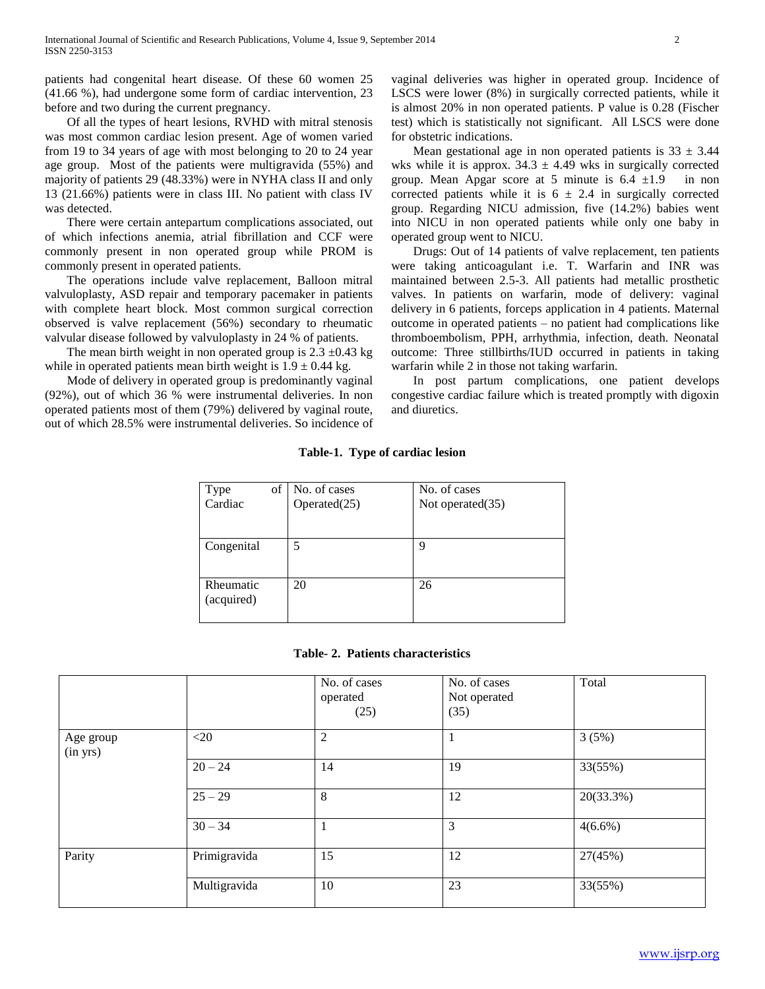patients had congenital heart disease. Of these 60 women 25 (41.66 %), had undergone some form of cardiac intervention, 23 before and two during the current pregnancy.

 Of all the types of heart lesions, RVHD with mitral stenosis was most common cardiac lesion present. Age of women varied from 19 to 34 years of age with most belonging to 20 to 24 year age group. Most of the patients were multigravida (55%) and majority of patients 29 (48.33%) were in NYHA class II and only 13 (21.66%) patients were in class III. No patient with class IV was detected.

 There were certain antepartum complications associated, out of which infections anemia, atrial fibrillation and CCF were commonly present in non operated group while PROM is commonly present in operated patients.

 The operations include valve replacement, Balloon mitral valvuloplasty, ASD repair and temporary pacemaker in patients with complete heart block. Most common surgical correction observed is valve replacement (56%) secondary to rheumatic valvular disease followed by valvuloplasty in 24 % of patients.

The mean birth weight in non operated group is  $2.3 \pm 0.43$  kg while in operated patients mean birth weight is  $1.9 \pm 0.44$  kg.

 Mode of delivery in operated group is predominantly vaginal (92%), out of which 36 % were instrumental deliveries. In non operated patients most of them (79%) delivered by vaginal route, out of which 28.5% were instrumental deliveries. So incidence of vaginal deliveries was higher in operated group. Incidence of LSCS were lower (8%) in surgically corrected patients, while it is almost 20% in non operated patients. P value is 0.28 (Fischer test) which is statistically not significant. All LSCS were done for obstetric indications.

Mean gestational age in non operated patients is  $33 \pm 3.44$ wks while it is approx.  $34.3 \pm 4.49$  wks in surgically corrected group. Mean Apgar score at 5 minute is  $6.4 \pm 1.9$  in non corrected patients while it is  $6 \pm 2.4$  in surgically corrected group. Regarding NICU admission, five (14.2%) babies went into NICU in non operated patients while only one baby in operated group went to NICU.

 Drugs: Out of 14 patients of valve replacement, ten patients were taking anticoagulant i.e. T. Warfarin and INR was maintained between 2.5-3. All patients had metallic prosthetic valves. In patients on warfarin, mode of delivery: vaginal delivery in 6 patients, forceps application in 4 patients. Maternal outcome in operated patients – no patient had complications like thromboembolism, PPH, arrhythmia, infection, death. Neonatal outcome: Three stillbirths/IUD occurred in patients in taking warfarin while 2 in those not taking warfarin.

 In post partum complications, one patient develops congestive cardiac failure which is treated promptly with digoxin and diuretics.

## **Table-1. Type of cardiac lesion**

| of<br>Type              | No. of cases    | No. of cases     |
|-------------------------|-----------------|------------------|
| Cardiac                 | Operated $(25)$ | Not operated(35) |
|                         |                 |                  |
| Congenital              | 5               | 9                |
| Rheumatic<br>(acquired) | 20              | 26               |

## **Table- 2. Patients characteristics**

|                       |              | No. of cases<br>operated<br>(25) | No. of cases<br>Not operated<br>(35) | Total      |
|-----------------------|--------------|----------------------------------|--------------------------------------|------------|
| Age group<br>(in yrs) | $<$ 20       | $\overline{2}$                   |                                      | 3(5%)      |
|                       | $20 - 24$    | 14                               | 19                                   | 33(55%)    |
|                       | $25 - 29$    | 8                                | 12                                   | 20(33.3%)  |
|                       | $30 - 34$    | 1                                | 3                                    | $4(6.6\%)$ |
| Parity                | Primigravida | 15                               | 12                                   | 27(45%)    |
|                       | Multigravida | 10                               | 23                                   | 33(55%)    |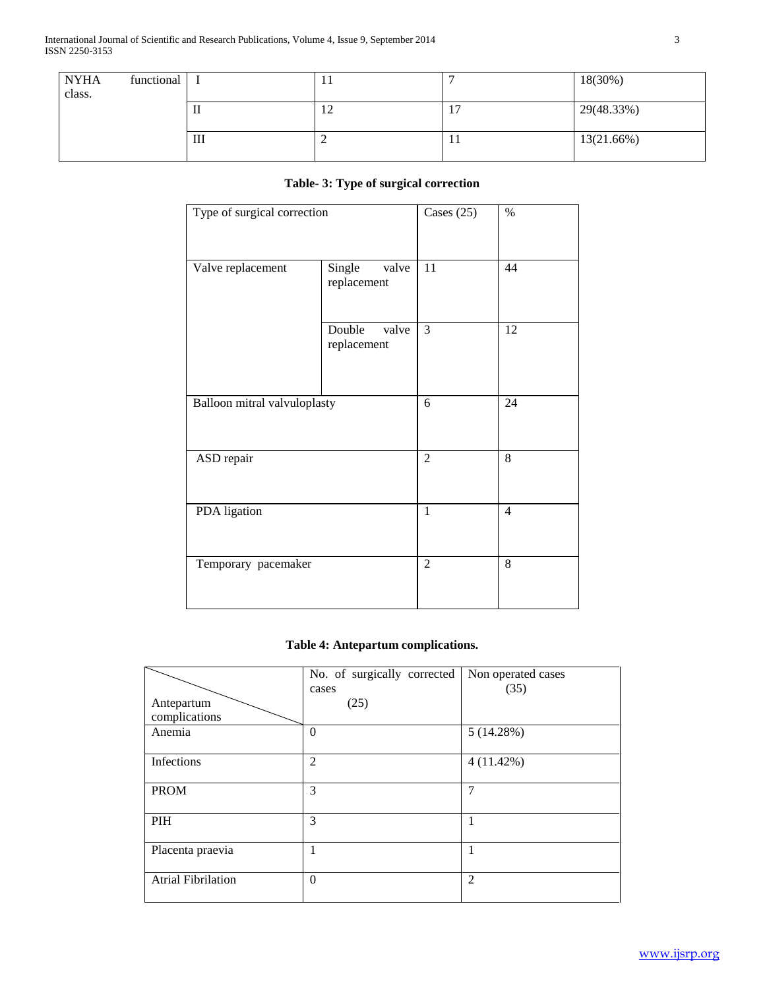| <b>NYHA</b><br>class. | functional |   | . . |                   | 18(30%)       |
|-----------------------|------------|---|-----|-------------------|---------------|
|                       |            | п | 14  | -<br>$\mathbf{r}$ | 29(48.33%)    |
|                       |            | Ш | ∼   | 11                | $13(21.66\%)$ |

# **Table- 3: Type of surgical correction**

| Type of surgical correction  | Cases $(25)$                   | $\%$           |    |
|------------------------------|--------------------------------|----------------|----|
| Valve replacement            | Single<br>valve<br>replacement | 11             | 44 |
|                              | Double<br>valve<br>replacement | 3              | 12 |
| Balloon mitral valvuloplasty | 6                              | 24             |    |
| ASD repair                   | $\overline{2}$                 | 8              |    |
| PDA ligation                 | $\mathbf{1}$                   | $\overline{4}$ |    |
| Temporary pacemaker          | $\overline{2}$                 | 8              |    |

## **Table 4: Antepartum complications.**

|                             | No. of surgically corrected<br>cases | Non operated cases<br>(35) |
|-----------------------------|--------------------------------------|----------------------------|
| Antepartum<br>complications | (25)                                 |                            |
| Anemia                      | $\theta$                             | 5(14.28%)                  |
| Infections                  | $\overline{2}$                       | 4(11.42%)                  |
| <b>PROM</b>                 | 3                                    | 7                          |
| PIH                         | 3                                    | 1                          |
| Placenta praevia            | 1                                    | 1                          |
| <b>Atrial Fibrilation</b>   | $\theta$                             | $\overline{2}$             |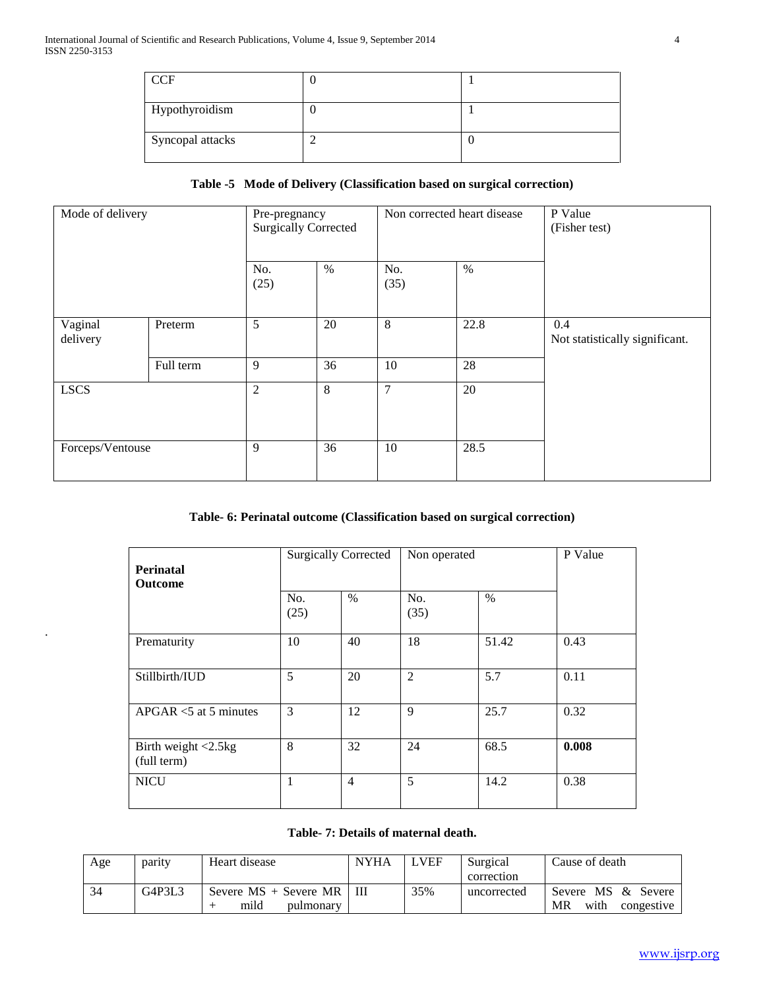.

| <b>CCF</b>       |  |
|------------------|--|
| Hypothyroidism   |  |
| Syncopal attacks |  |

## **Table -5 Mode of Delivery (Classification based on surgical correction)**

| Mode of delivery    |           | Pre-pregnancy<br><b>Surgically Corrected</b> |      | Non corrected heart disease |      | P Value<br>(Fisher test)              |  |
|---------------------|-----------|----------------------------------------------|------|-----------------------------|------|---------------------------------------|--|
|                     |           | No.<br>(25)                                  | $\%$ | No.<br>(35)                 | $\%$ |                                       |  |
| Vaginal<br>delivery | Preterm   | 5                                            | 20   | 8                           | 22.8 | 0.4<br>Not statistically significant. |  |
|                     | Full term | 9                                            | 36   | 10                          | 28   |                                       |  |
| <b>LSCS</b>         |           | $\mathfrak{2}$                               | 8    | 7                           | 20   |                                       |  |
| Forceps/Ventouse    |           | 9                                            | 36   | 10                          | 28.5 |                                       |  |

## **Table- 6: Perinatal outcome (Classification based on surgical correction)**

| <b>Perinatal</b><br><b>Outcome</b>    | <b>Surgically Corrected</b> |                | Non operated   |       | P Value |
|---------------------------------------|-----------------------------|----------------|----------------|-------|---------|
|                                       | No.<br>(25)                 | $\%$           | No.<br>(35)    | $\%$  |         |
| Prematurity                           | 10                          | 40             | 18             | 51.42 | 0.43    |
| Stillbirth/IUD                        | 5                           | 20             | $\overline{2}$ | 5.7   | 0.11    |
| $APGAR < 5$ at 5 minutes              | 3                           | 12             | 9              | 25.7  | 0.32    |
| Birth weight $<$ 2.5kg<br>(full term) | 8                           | 32             | 24             | 68.5  | 0.008   |
| <b>NICU</b>                           | 1                           | $\overline{4}$ | 5              | 14.2  | 0.38    |

## **Table- 7: Details of maternal death.**

| Age | parity | Heart disease                   | <b>NYHA</b> | <b>VEF</b> | Surgical    | Cause of death           |
|-----|--------|---------------------------------|-------------|------------|-------------|--------------------------|
|     |        |                                 |             |            | correction  |                          |
| 34  | G4P3L3 | Severe $MS +$ Severe $MR$   III |             | 35%        | uncorrected | Severe MS & Severe       |
|     |        | mild<br>pulmonary               |             |            |             | MR<br>with<br>congestive |